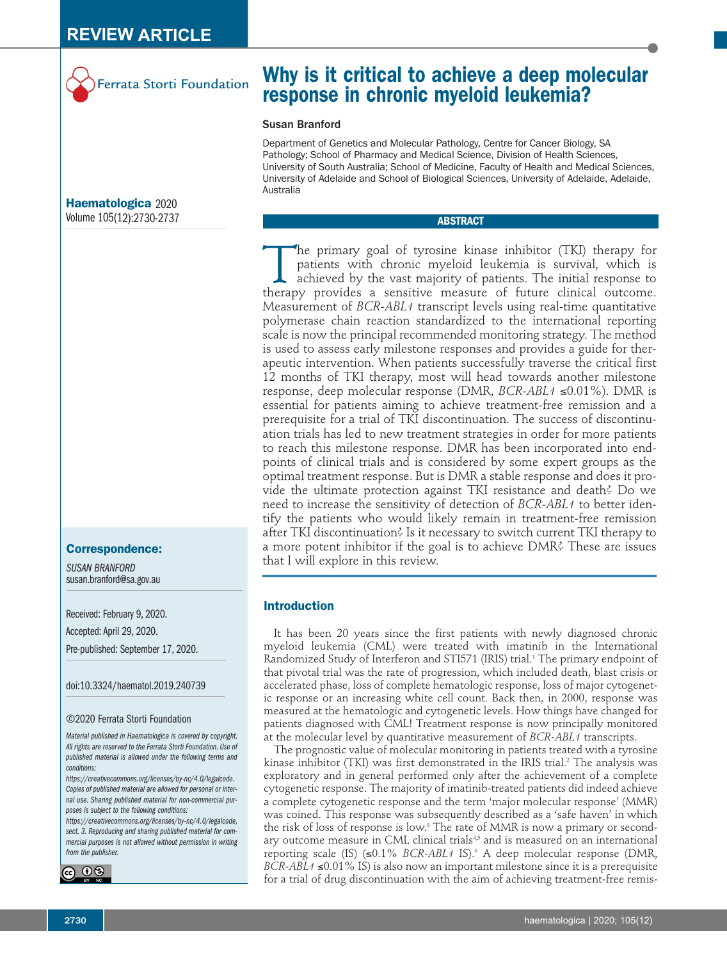

# **Why is it critical to achieve a deep molecular response in chronic myeloid leukemia?**

### Susan Branford

Department of Genetics and Molecular Pathology, Centre for Cancer Biology, SA Pathology; School of Pharmacy and Medical Science, Division of Health Sciences, University of South Australia; School of Medicine, Faculty of Health and Medical Sciences, University of Adelaide and School of Biological Sciences, University of Adelaide, Adelaide, Australia

# **ABSTRACT**

The primary goal of tyrosine kinase inhibitor (TKI) therapy for patients with chronic myeloid leukemia is survival, which is achieved by the vast majority of patients. The initial response to therapy provides a sensitive measure of future clinical outcome. Measurement of *BCR-ABL1* transcript levels using real-time quantitative polymerase chain reaction standardized to the international reporting scale is now the principal recommended monitoring strategy. The method is used to assess early milestone responses and provides a guide for therapeutic intervention. When patients successfully traverse the critical first 12 months of TKI therapy, most will head towards another milestone response, deep molecular response (DMR, *BCR-ABL1* ≤0.01%). DMR is essential for patients aiming to achieve treatment-free remission and a prerequisite for a trial of TKI discontinuation. The success of discontinuation trials has led to new treatment strategies in order for more patients to reach this milestone response. DMR has been incorporated into endpoints of clinical trials and is considered by some expert groups as the optimal treatment response. But is DMR a stable response and does it provide the ultimate protection against TKI resistance and death? Do we need to increase the sensitivity of detection of *BCR-ABL1* to better identify the patients who would likely remain in treatment-free remission after TKI discontinuation? Is it necessary to switch current TKI therapy to a more potent inhibitor if the goal is to achieve DMR? These are issues that I will explore in this review.

# **Introduction**

It has been 20 years since the first patients with newly diagnosed chronic myeloid leukemia (CML) were treated with imatinib in the International Randomized Study of Interferon and STI571 (IRIS) trial.1 The primary endpoint of that pivotal trial was the rate of progression, which included death, blast crisis or accelerated phase, loss of complete hematologic response, loss of major cytogenetic response or an increasing white cell count. Back then, in 2000, response was measured at the hematologic and cytogenetic levels. How things have changed for patients diagnosed with CML! Treatment response is now principally monitored at the molecular level by quantitative measurement of *BCR-ABL1* transcripts.

The prognostic value of molecular monitoring in patients treated with a tyrosine kinase inhibitor (TKI) was first demonstrated in the IRIS trial.<sup>2</sup> The analysis was exploratory and in general performed only after the achievement of a complete cytogenetic response. The majority of imatinib-treated patients did indeed achieve a complete cytogenetic response and the term 'major molecular response' (MMR) was coined. This response was subsequently described as a 'safe haven' in which the risk of loss of response is low.<sup>3</sup> The rate of MMR is now a primary or secondary outcome measure in CML clinical trials<sup>4,5</sup> and is measured on an international reporting scale (IS) (≤0.1% *BCR-ABL1* IS).<sup>6</sup> A deep molecular response (DMR, *BCR-ABL1* ≤0.01% IS) is also now an important milestone since it is a prerequisite for a trial of drug discontinuation with the aim of achieving treatment-free remis-

**Haematologica** 2020 Volume 105(12):2730-2737

#### **Correspondence:**

*SUSAN BRANFORD* susan.branford@sa.gov.au

Received: February 9, 2020. Accepted: April 29, 2020. Pre-published: September 17, 2020.

doi:10.3324/haematol.2019.240739

#### ©2020 Ferrata Storti Foundation

*Material published in Haematologica is covered by copyright. All rights are reserved to the Ferrata Storti Foundation. Use of published material is allowed under the following terms and conditions:* 

*https://creativecommons.org/licenses/by-nc/4.0/legalcode. Copies of published material are allowed for personal or internal use. Sharing published material for non-commercial purposes is subject to the following conditions:* 

*https://creativecommons.org/licenses/by-nc/4.0/legalcode, sect. 3. Reproducing and sharing published material for commercial purposes is not allowed without permission in writing from the publisher.*

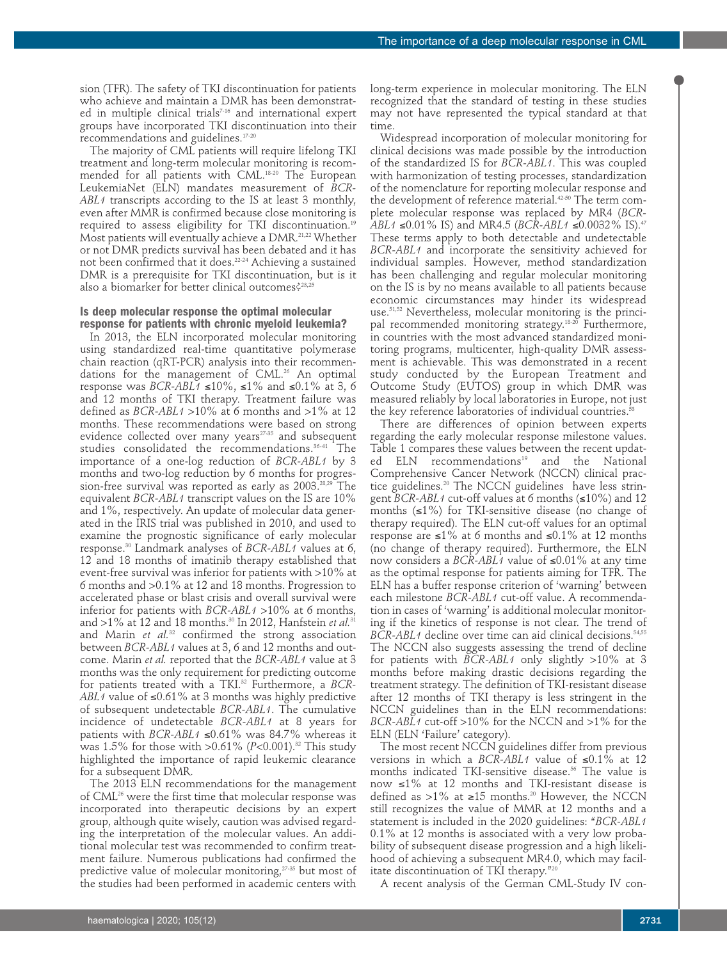sion (TFR). The safety of TKI discontinuation for patients who achieve and maintain a DMR has been demonstrated in multiple clinical trials<sup>7-16</sup> and international expert groups have incorporated TKI discontinuation into their recommendations and guidelines.17-20

The majority of CML patients will require lifelong TKI treatment and long-term molecular monitoring is recommended for all patients with CML.18-20 The European LeukemiaNet (ELN) mandates measurement of *BCR-ABL1* transcripts according to the IS at least 3 monthly, even after MMR is confirmed because close monitoring is required to assess eligibility for TKI discontinuation.19 Most patients will eventually achieve a DMR.21,22 Whether or not DMR predicts survival has been debated and it has not been confirmed that it does. $^{22\cdot 24}$  Achieving a sustained DMR is a prerequisite for TKI discontinuation, but is it also a biomarker for better clinical outcomes?<sup>23,25</sup>

# **Is deep molecular response the optimal molecular response for patients with chronic myeloid leukemia?**

In 2013, the ELN incorporated molecular monitoring using standardized real-time quantitative polymerase chain reaction (qRT-PCR) analysis into their recommendations for the management of CML.<sup>26</sup> An optimal response was *BCR-ABL1* ≤10%, ≤1% and ≤0.1% at 3, 6 and 12 months of TKI therapy. Treatment failure was defined as *BCR-ABL1* >10% at 6 months and >1% at 12 months. These recommendations were based on strong evidence collected over many years<sup>27-35</sup> and subsequent studies consolidated the recommendations.36-41 The importance of a one-log reduction of *BCR-ABL1* by 3 months and two-log reduction by 6 months for progression-free survival was reported as early as 2003.<sup>28,29</sup> The equivalent *BCR-ABL1* transcript values on the IS are 10% and 1%, respectively. An update of molecular data generated in the IRIS trial was published in 2010, and used to examine the prognostic significance of early molecular response.30 Landmark analyses of *BCR-ABL1* values at 6, 12 and 18 months of imatinib therapy established that event-free survival was inferior for patients with >10% at 6 months and >0.1% at 12 and 18 months. Progression to accelerated phase or blast crisis and overall survival were inferior for patients with *BCR-ABL1* >10% at 6 months, and >1% at 12 and 18 months.<sup>30</sup> In 2012, Hanfstein *et al.*<sup>31</sup> and Marin *et al.*<sup>32</sup> confirmed the strong association between *BCR-ABL1* values at 3, 6 and 12 months and outcome. Marin *et al.* reported that the *BCR-ABL1* value at 3 months was the only requirement for predicting outcome for patients treated with a TKI.32 Furthermore, a *BCR-ABL1* value of ≤0.61% at 3 months was highly predictive of subsequent undetectable *BCR-ABL1*. The cumulative incidence of undetectable *BCR-ABL1* at 8 years for patients with *BCR-ABL1* ≤0.61% was 84.7% whereas it was 1.5% for those with >0.61% (*P*<0.001).<sup>32</sup> This study highlighted the importance of rapid leukemic clearance for a subsequent DMR.

The 2013 ELN recommendations for the management of CML<sup>26</sup> were the first time that molecular response was incorporated into therapeutic decisions by an expert group, although quite wisely, caution was advised regarding the interpretation of the molecular values. An additional molecular test was recommended to confirm treatment failure. Numerous publications had confirmed the predictive value of molecular monitoring,<sup>27-35</sup> but most of the studies had been performed in academic centers with

long-term experience in molecular monitoring. The ELN recognized that the standard of testing in these studies may not have represented the typical standard at that time.

Widespread incorporation of molecular monitoring for clinical decisions was made possible by the introduction of the standardized IS for *BCR-ABL1*. This was coupled with harmonization of testing processes, standardization of the nomenclature for reporting molecular response and the development of reference material.<sup>42-50</sup> The term complete molecular response was replaced by MR4 (*BCR-ABL1* ≤0.01% IS) and MR4.5 (*BCR-ABL1* ≤0.0032% IS).<sup>47</sup> These terms apply to both detectable and undetectable *BCR-ABL1* and incorporate the sensitivity achieved for individual samples. However, method standardization has been challenging and regular molecular monitoring on the IS is by no means available to all patients because economic circumstances may hinder its widespread use.51,52 Nevertheless, molecular monitoring is the principal recommended monitoring strategy.<sup>18-20</sup> Furthermore. in countries with the most advanced standardized monitoring programs, multicenter, high-quality DMR assessment is achievable. This was demonstrated in a recent study conducted by the European Treatment and Outcome Study (EUTOS) group in which DMR was measured reliably by local laboratories in Europe, not just the key reference laboratories of individual countries.<sup>53</sup>

There are differences of opinion between experts regarding the early molecular response milestone values. Table 1 compares these values between the recent updated ELN recommendations<sup>19</sup> and the National Comprehensive Cancer Network (NCCN) clinical practice guidelines.<sup>20</sup> The NCCN guidelines have less stringent *BCR-ABL1* cut-off values at 6 months (≤10%) and 12 months  $(\leq 1\%)$  for TKI-sensitive disease (no change of therapy required). The ELN cut-off values for an optimal response are ≤1% at 6 months and ≤0.1% at 12 months (no change of therapy required). Furthermore, the ELN now considers a *BCR-ABL1* value of ≤0.01% at any time as the optimal response for patients aiming for TFR. The ELN has a buffer response criterion of 'warning' between each milestone *BCR-ABL1* cut-off value. A recommendation in cases of 'warning' is additional molecular monitoring if the kinetics of response is not clear. The trend of *BCR-ABL1* decline over time can aid clinical decisions.<sup>54,55</sup> The NCCN also suggests assessing the trend of decline for patients with *BCR-ABL1* only slightly >10% at 3 months before making drastic decisions regarding the treatment strategy. The definition of TKI-resistant disease after 12 months of TKI therapy is less stringent in the NCCN guidelines than in the ELN recommendations: *BCR-ABL1* cut-off >10% for the NCCN and >1% for the ELN (ELN 'Failure' category).

The most recent NCCN guidelines differ from previous versions in which a *BCR-ABL1* value of ≤0.1% at 12 months indicated TKI-sensitive disease.<sup>56</sup> The value is now ≤1% at 12 months and TKI-resistant disease is defined as >1% at ≥15 months.<sup>20</sup> However, the NCCN still recognizes the value of MMR at 12 months and a statement is included in the 2020 guidelines: "*BCR-ABL1* 0.1% at 12 months is associated with a very low probability of subsequent disease progression and a high likelihood of achieving a subsequent MR4.0, which may facilitate discontinuation of TKI therapy."<sup>2</sup>

A recent analysis of the German CML-Study IV con-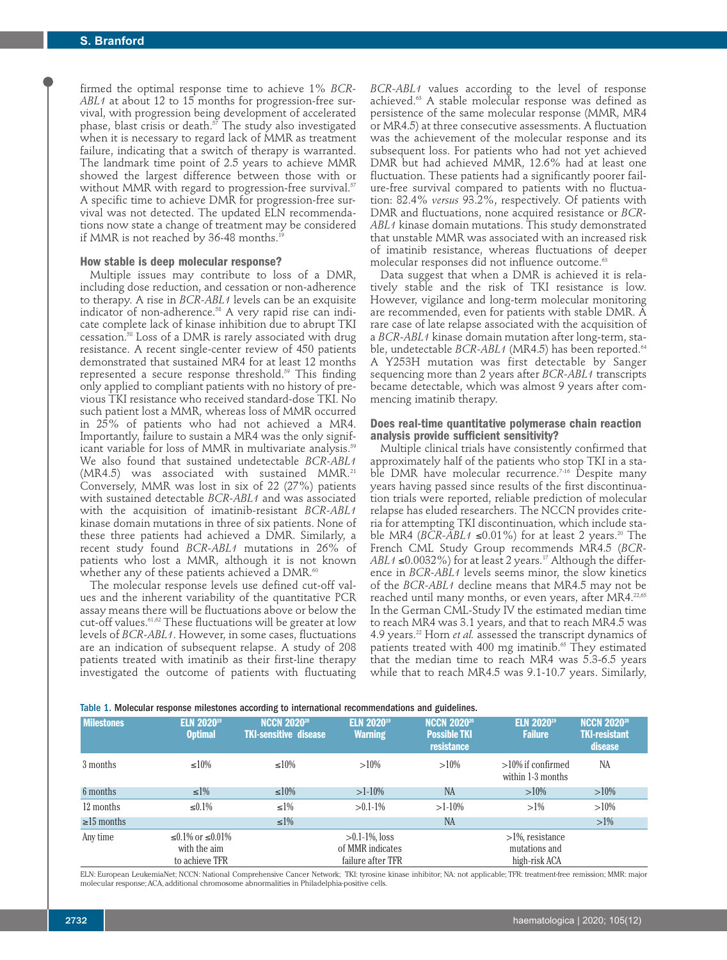firmed the optimal response time to achieve 1% *BCR-ABL1* at about 12 to 15 months for progression-free survival, with progression being development of accelerated phase, blast crisis or death. $\frac{5}{7}$  The study also investigated when it is necessary to regard lack of MMR as treatment failure, indicating that a switch of therapy is warranted. The landmark time point of 2.5 years to achieve MMR showed the largest difference between those with or without MMR with regard to progression-free survival.<sup>57</sup> A specific time to achieve DMR for progression-free survival was not detected. The updated ELN recommendations now state a change of treatment may be considered if MMR is not reached by 36-48 months.<sup>19</sup>

#### **How stable is deep molecular response?**

Multiple issues may contribute to loss of a DMR, including dose reduction, and cessation or non-adherence to therapy. A rise in *BCR-ABL1* levels can be an exquisite indicator of non-adherence.<sup>58</sup> A very rapid rise can indicate complete lack of kinase inhibition due to abrupt TKI cessation.58 Loss of a DMR is rarely associated with drug resistance. A recent single-center review of 450 patients demonstrated that sustained MR4 for at least 12 months represented a secure response threshold.59 This finding only applied to compliant patients with no history of previous TKI resistance who received standard-dose TKI. No such patient lost a MMR, whereas loss of MMR occurred in 25% of patients who had not achieved a MR4. Importantly, failure to sustain a MR4 was the only significant variable for loss of MMR in multivariate analysis.<sup>59</sup> We also found that sustained undetectable *BCR-ABL1*  $(MR4.5)$  was associated with sustained MMR.<sup>21</sup> Conversely, MMR was lost in six of 22 (27%) patients with sustained detectable *BCR-ABL1* and was associated with the acquisition of imatinib-resistant *BCR-ABL1* kinase domain mutations in three of six patients. None of these three patients had achieved a DMR. Similarly, a recent study found *BCR-ABL1* mutations in 26% of patients who lost a MMR, although it is not known whether any of these patients achieved a DMR.<sup>60</sup>

The molecular response levels use defined cut-off values and the inherent variability of the quantitative PCR assay means there will be fluctuations above or below the cut-off values.61,62 These fluctuations will be greater at low levels of *BCR-ABL1*. However, in some cases, fluctuations are an indication of subsequent relapse. A study of 208 patients treated with imatinib as their first-line therapy investigated the outcome of patients with fluctuating

*BCR-ABL1* values according to the level of response achieved.63 A stable molecular response was defined as persistence of the same molecular response (MMR, MR4 or MR4.5) at three consecutive assessments. A fluctuation was the achievement of the molecular response and its subsequent loss. For patients who had not yet achieved DMR but had achieved MMR, 12.6% had at least one fluctuation. These patients had a significantly poorer failure-free survival compared to patients with no fluctuation: 82.4% *versus* 93.2%, respectively. Of patients with DMR and fluctuations, none acquired resistance or *BCR-ABL1* kinase domain mutations. This study demonstrated that unstable MMR was associated with an increased risk of imatinib resistance, whereas fluctuations of deeper molecular responses did not influence outcome.<sup>6</sup>

Data suggest that when a DMR is achieved it is relatively stable and the risk of TKI resistance is low. However, vigilance and long-term molecular monitoring are recommended, even for patients with stable DMR. A rare case of late relapse associated with the acquisition of a *BCR-ABL1* kinase domain mutation after long-term, stable, undetectable *BCR-ABL1* (MR4.5) has been reported.<sup>64</sup> A Y253H mutation was first detectable by Sanger sequencing more than 2 years after *BCR-ABL1* transcripts became detectable, which was almost 9 years after commencing imatinib therapy.

# **Does real-time quantitative polymerase chain reaction analysis provide sufficient sensitivity?**

Multiple clinical trials have consistently confirmed that approximately half of the patients who stop TKI in a stable DMR have molecular recurrence.<sup>7-16</sup> Despite many years having passed since results of the first discontinuation trials were reported, reliable prediction of molecular relapse has eluded researchers. The NCCN provides criteria for attempting TKI discontinuation, which include stable MR4 ( $BCR$ - $ABL1 \le 0.01\%$ ) for at least 2 years.<sup>20</sup> The French CML Study Group recommends MR4.5 (*BCR-ABL1* ≤0.0032%) for at least 2 years.<sup>17</sup> Although the difference in *BCR-ABL1* levels seems minor, the slow kinetics of the *BCR-ABL1* decline means that MR4.5 may not be reached until many months, or even years, after MR4.<sup>22,65</sup> In the German CML-Study IV the estimated median time to reach MR4 was 3.1 years, and that to reach MR4.5 was 4.9 years.22 Horn *et al.* assessed the transcript dynamics of patients treated with 400 mg imatinib.<sup>65</sup> They estimated that the median time to reach MR4 was 5.3-6.5 years while that to reach MR4.5 was 9.1-10.7 years. Similarly,

|  |  |  | Table 1. Molecular response milestones according to international recommendations and guidelines. |  |
|--|--|--|---------------------------------------------------------------------------------------------------|--|
|  |  |  |                                                                                                   |  |

| <b>Milestones</b> | <b>ELN 202019</b><br><b>Optimal</b>                     | <b>NCCN 202020</b><br><b>TKI-sensitive disease</b> | <b>ELN 202019</b><br><b>Warning</b>                        | <b>NCCN 2020<sup>20</sup></b><br><b>Possible TKI</b><br>resistance | <b>ELN 202019</b><br><b>Failure</b>                   | <b>NCCN 202020</b><br><b>TKI-resistant</b><br>disease |
|-------------------|---------------------------------------------------------|----------------------------------------------------|------------------------------------------------------------|--------------------------------------------------------------------|-------------------------------------------------------|-------------------------------------------------------|
| 3 months          | $\leq 10\%$                                             | $\leq 10\%$                                        | $>10\%$                                                    | $>10\%$                                                            | $>10\%$ if confirmed<br>within 1-3 months             | NA                                                    |
| 6 months          | $\leq 1\%$                                              | $\leq 10\%$                                        | $>1-10\%$                                                  | <b>NA</b>                                                          | $>10\%$                                               | $>10\%$                                               |
| 12 months         | $\leq 0.1\%$                                            | $\leq 1\%$                                         | $>0.1-1\%$                                                 | $>1-10\%$                                                          | $>1\%$                                                | $>10\%$                                               |
| $\geq 15$ months  |                                                         | $\leq 1\%$                                         |                                                            | <b>NA</b>                                                          |                                                       | $>1\%$                                                |
| Any time          | $≤0.1\%$ or $≤0.01\%$<br>with the aim<br>to achieve TFR |                                                    | $>0.1-1\%$ , loss<br>of MMR indicates<br>failure after TFR |                                                                    | $>1\%$ , resistance<br>mutations and<br>high-risk ACA |                                                       |

ELN: European LeukemiaNet; NCCN: National Comprehensive Cancer Network; TKI: tyrosine kinase inhibitor; NA: not applicable; TFR: treatment-free remission; MMR: major molecular response; ACA, additional chromosome abnormalities in Philadelphia-positive cells.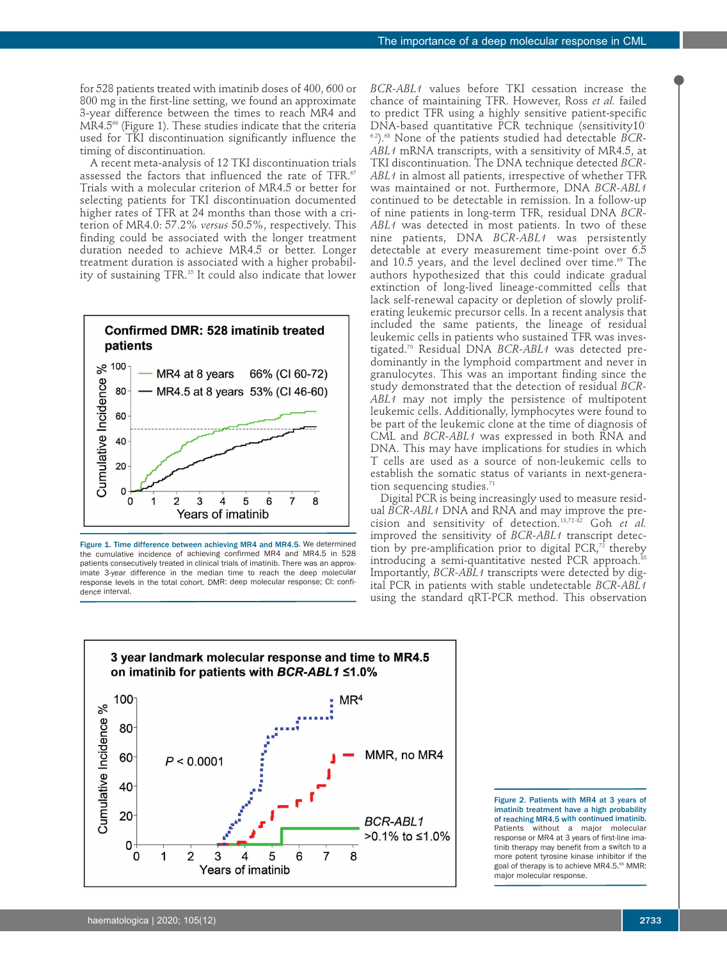for 528 patients treated with imatinib doses of 400, 600 or 800 mg in the first-line setting, we found an approximate 3-year difference between the times to reach MR4 and MR4.5<sup>66</sup> (Figure 1). These studies indicate that the criteria used for TKI discontinuation significantly influence the timing of discontinuation.

A recent meta-analysis of 12 TKI discontinuation trials assessed the factors that influenced the rate of TFR.<sup>67</sup> Trials with a molecular criterion of MR4.5 or better for selecting patients for TKI discontinuation documented higher rates of TFR at 24 months than those with a criterion of MR4.0: 57.2% *versus* 50.5%, respectively. This finding could be associated with the longer treatment duration needed to achieve MR4.5 or better. Longer treatment duration is associated with a higher probability of sustaining TFR.15 It could also indicate that lower



Figure 1. Time difference between achieving MR4 and MR4.5. We determined the cumulative incidence of achieving confirmed MR4 and MR4.5 in 528 patients consecutively treated in clinical trials of imatinib. There was an approximate 3-year difference in the median time to reach the deep molecular response levels in the total cohort. DMR: deep molecular response; CI: confidence interval.

*BCR-ABL1* values before TKI cessation increase the chance of maintaining TFR. However, Ross *et al.* failed to predict TFR using a highly sensitive patient-specific DNA-based quantitative PCR technique (sensitivity10- 6.2).68 None of the patients studied had detectable *BCR-ABL1* mRNA transcripts, with a sensitivity of MR4.5, at TKI discontinuation. The DNA technique detected *BCR-ABL1* in almost all patients, irrespective of whether TFR was maintained or not. Furthermore, DNA *BCR-ABL1* continued to be detectable in remission. In a follow-up of nine patients in long-term TFR, residual DNA *BCR-ABL1* was detected in most patients. In two of these nine patients, DNA *BCR-ABL1* was persistently detectable at every measurement time-point over 6.5 and 10.5 years, and the level declined over time.<sup>69</sup> The authors hypothesized that this could indicate gradual extinction of long-lived lineage-committed cells that lack self-renewal capacity or depletion of slowly proliferating leukemic precursor cells. In a recent analysis that included the same patients, the lineage of residual leukemic cells in patients who sustained TFR was investigated.70 Residual DNA *BCR-ABL1* was detected predominantly in the lymphoid compartment and never in granulocytes. This was an important finding since the study demonstrated that the detection of residual *BCR-ABL1* may not imply the persistence of multipotent leukemic cells. Additionally, lymphocytes were found to be part of the leukemic clone at the time of diagnosis of CML and *BCR-ABL1* was expressed in both RNA and DNA. This may have implications for studies in which T cells are used as a source of non-leukemic cells to establish the somatic status of variants in next-generation sequencing studies.<sup>71</sup>

Digital PCR is being increasingly used to measure residual *BCR-ABL1* DNA and RNA and may improve the precision and sensitivity of detection.13,72-82 Goh *et al.* improved the sensitivity of *BCR-ABL1* transcript detection by pre-amplification prior to digital  $PCR<sub>1</sub><sup>72</sup>$  thereby introducing a semi-quantitative nested PCR approach.<sup>83</sup> Importantly, *BCR-ABL1* transcripts were detected by digital PCR in patients with stable undetectable *BCR-ABL1* using the standard qRT-PCR method. This observation



Figure 2. Patients with MR4 at 3 years of imatinib treatment have a high probability of reaching MR4.5 with continued imatinib. Patients without a major molecular response or MR4 at 3 years of first-line imatinib therapy may benefit from a switch to a more potent tyrosine kinase inhibitor if the goal of therapy is to achieve MR4.5.<sup>66</sup> MMR: major molecular response.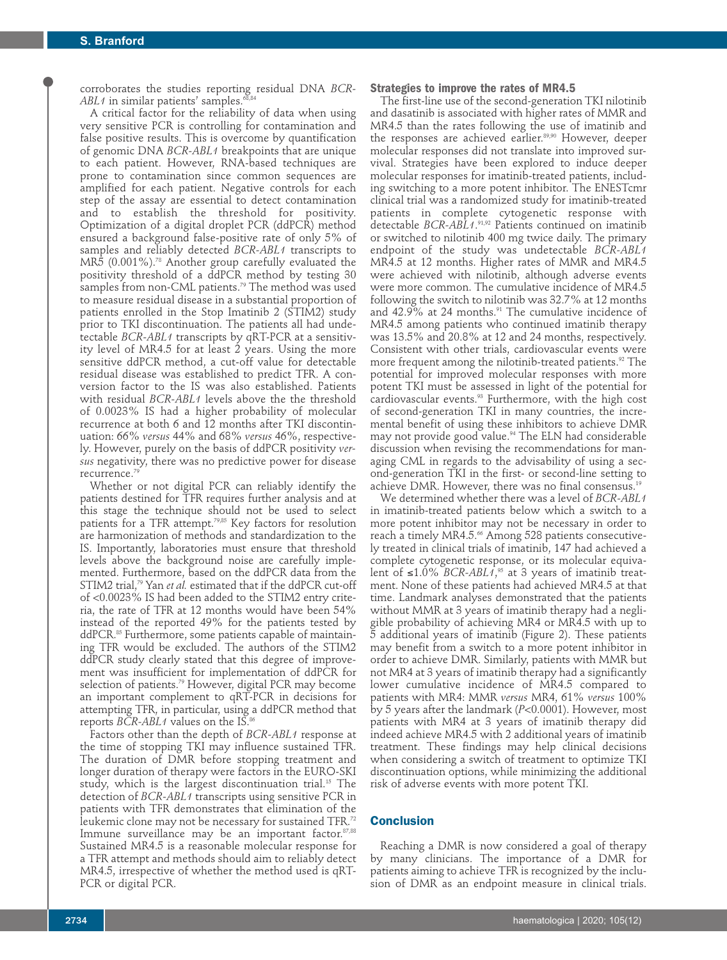corroborates the studies reporting residual DNA *BCR-*ABL1 in similar patients' samples.<sup>6</sup>

A critical factor for the reliability of data when using very sensitive PCR is controlling for contamination and false positive results. This is overcome by quantification of genomic DNA *BCR-ABL1* breakpoints that are unique to each patient. However, RNA-based techniques are prone to contamination since common sequences are amplified for each patient. Negative controls for each step of the assay are essential to detect contamination and to establish the threshold for positivity. Optimization of a digital droplet PCR (ddPCR) method ensured a background false-positive rate of only 5% of samples and reliably detected *BCR-ABL1* transcripts to MR5 (0.001%).78 Another group carefully evaluated the positivity threshold of a ddPCR method by testing 30 samples from non-CML patients.<sup>79</sup> The method was used to measure residual disease in a substantial proportion of patients enrolled in the Stop Imatinib 2 (STIM2) study prior to TKI discontinuation. The patients all had undetectable *BCR-ABL1* transcripts by qRT-PCR at a sensitivity level of MR4.5 for at least 2 years. Using the more sensitive ddPCR method, a cut-off value for detectable residual disease was established to predict TFR. A conversion factor to the IS was also established. Patients with residual *BCR-ABL1* levels above the the threshold of 0.0023% IS had a higher probability of molecular recurrence at both 6 and 12 months after TKI discontinuation: 66% *versus* 44% and 68% *versus* 46%, respectively. However, purely on the basis of ddPCR positivity *versus* negativity, there was no predictive power for disease recurrence.<sup>79</sup>

Whether or not digital PCR can reliably identify the patients destined for TFR requires further analysis and at this stage the technique should not be used to select patients for a TFR attempt.<sup>79,85</sup> Key factors for resolution are harmonization of methods and standardization to the IS. Importantly, laboratories must ensure that threshold levels above the background noise are carefully implemented. Furthermore, based on the ddPCR data from the STIM2 trial,<sup>79</sup> Yan *et al.* estimated that if the ddPCR cut-off of <0.0023% IS had been added to the STIM2 entry criteria, the rate of TFR at 12 months would have been 54% instead of the reported 49% for the patients tested by ddPCR.<sup>85</sup> Furthermore, some patients capable of maintaining TFR would be excluded. The authors of the STIM2 ddPCR study clearly stated that this degree of improvement was insufficient for implementation of ddPCR for selection of patients.<sup>79</sup> However, digital PCR may become an important complement to qRT-PCR in decisions for attempting TFR, in particular, using a ddPCR method that reports *BCR-ABL1* values on the IS.<sup>86</sup>

Factors other than the depth of *BCR-ABL1* response at the time of stopping TKI may influence sustained TFR. The duration of DMR before stopping treatment and longer duration of therapy were factors in the EURO-SKI study, which is the largest discontinuation trial.<sup>15</sup> The detection of *BCR-ABL1* transcripts using sensitive PCR in patients with TFR demonstrates that elimination of the leukemic clone may not be necessary for sustained TFR.<sup>72</sup> Immune surveillance may be an important factor. 87,88 Sustained MR4.5 is a reasonable molecular response for a TFR attempt and methods should aim to reliably detect MR4.5, irrespective of whether the method used is qRT-PCR or digital PCR.

#### **Strategies to improve the rates of MR4.5**

The first-line use of the second-generation TKI nilotinib and dasatinib is associated with higher rates of MMR and MR4.5 than the rates following the use of imatinib and the responses are achieved earlier.<sup>89,90</sup> However, deeper molecular responses did not translate into improved survival. Strategies have been explored to induce deeper molecular responses for imatinib-treated patients, including switching to a more potent inhibitor. The ENESTcmr clinical trial was a randomized study for imatinib-treated patients in complete cytogenetic response with detectable *BCR-ABL1*. 91,92 Patients continued on imatinib or switched to nilotinib 400 mg twice daily. The primary endpoint of the study was undetectable *BCR-ABL1* MR4.5 at 12 months. Higher rates of MMR and MR4.5 were achieved with nilotinib, although adverse events were more common. The cumulative incidence of MR4.5 following the switch to nilotinib was 32.7% at 12 months and  $42.9\%$  at 24 months.<sup>91</sup> The cumulative incidence of MR4.5 among patients who continued imatinib therapy was 13.5% and 20.8% at 12 and 24 months, respectively. Consistent with other trials, cardiovascular events were more frequent among the nilotinib-treated patients.<sup>92</sup> The potential for improved molecular responses with more potent TKI must be assessed in light of the potential for cardiovascular events. $93$  Furthermore, with the high cost of second-generation TKI in many countries, the incremental benefit of using these inhibitors to achieve DMR may not provide good value.<sup>94</sup> The ELN had considerable discussion when revising the recommendations for managing CML in regards to the advisability of using a second-generation TKI in the first- or second-line setting to achieve DMR. However, there was no final consensus.19

We determined whether there was a level of *BCR-ABL1* in imatinib-treated patients below which a switch to a more potent inhibitor may not be necessary in order to reach a timely MR4.5.<sup>66</sup> Among 528 patients consecutively treated in clinical trials of imatinib, 147 had achieved a complete cytogenetic response, or its molecular equivalent of ≤1.0% *BCR-ABL1*, <sup>95</sup> at 3 years of imatinib treatment. None of these patients had achieved MR4.5 at that time. Landmark analyses demonstrated that the patients without MMR at 3 years of imatinib therapy had a negligible probability of achieving MR4 or MR4.5 with up to 5 additional years of imatinib (Figure 2). These patients may benefit from a switch to a more potent inhibitor in order to achieve DMR. Similarly, patients with MMR but not MR4 at 3 years of imatinib therapy had a significantly lower cumulative incidence of MR4.5 compared to patients with MR4: MMR *versus* MR4, 61% *versus* 100% by 5 years after the landmark (*P*<0.0001). However, most patients with MR4 at 3 years of imatinib therapy did indeed achieve MR4.5 with 2 additional years of imatinib treatment. These findings may help clinical decisions when considering a switch of treatment to optimize TKI discontinuation options, while minimizing the additional risk of adverse events with more potent TKI.

# **Conclusion**

Reaching a DMR is now considered a goal of therapy by many clinicians. The importance of a DMR for patients aiming to achieve TFR is recognized by the inclusion of DMR as an endpoint measure in clinical trials.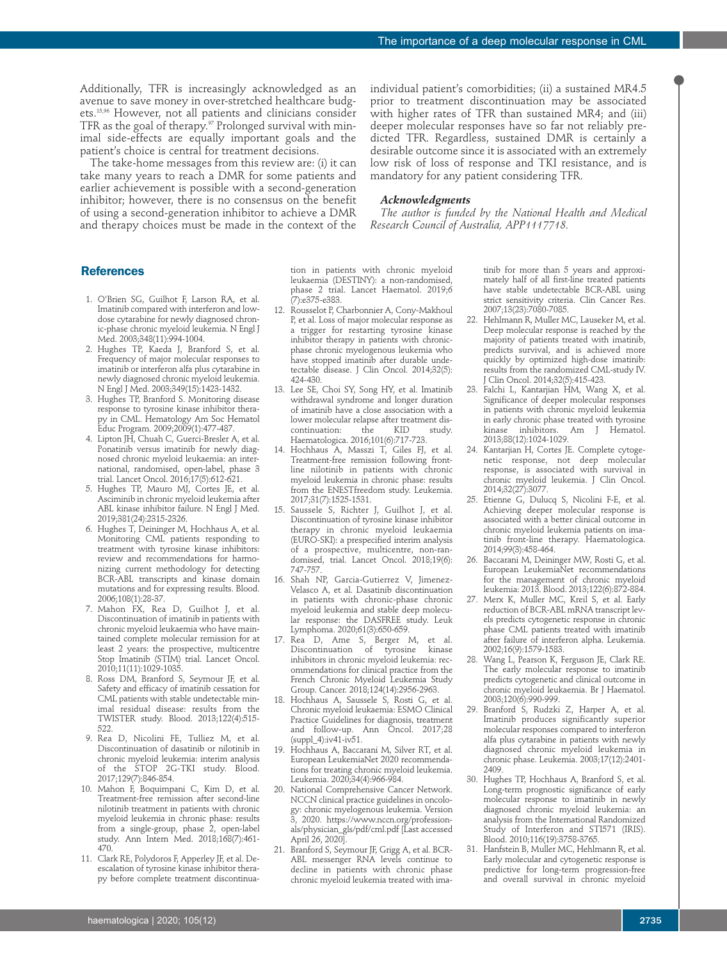Additionally, TFR is increasingly acknowledged as an avenue to save money in over-stretched healthcare budgets.15,96 However, not all patients and clinicians consider TFR as the goal of therapy.<sup>97</sup> Prolonged survival with minimal side-effects are equally important goals and the patient's choice is central for treatment decisions.

The take-home messages from this review are: (i) it can take many years to reach a DMR for some patients and earlier achievement is possible with a second-generation inhibitor; however, there is no consensus on the benefit of using a second-generation inhibitor to achieve a DMR and therapy choices must be made in the context of the individual patient's comorbidities; (ii) a sustained MR4.5 prior to treatment discontinuation may be associated with higher rates of TFR than sustained MR4; and (iii) deeper molecular responses have so far not reliably predicted TFR. Regardless, sustained DMR is certainly a desirable outcome since it is associated with an extremely low risk of loss of response and TKI resistance, and is mandatory for any patient considering TFR.

#### *Acknowledgments*

*The author is funded by the National Health and Medical Research Council of Australia, APP1117718.* 

# **References**

- 1. O'Brien SG, Guilhot F, Larson RA, et al. Imatinib compared with interferon and lowdose cytarabine for newly diagnosed chronic-phase chronic myeloid leukemia. N Engl J Med. 2003;348(11):994-1004.
- 2. Hughes TP, Kaeda J, Branford S, et al. Frequency of major molecular responses to imatinib or interferon alfa plus cytarabine in newly diagnosed chronic myeloid leukemia. N Engl J Med. 2003;349(15):1423-1432.
- 3. Hughes TP, Branford S. Monitoring disease response to tyrosine kinase inhibitor therapy in CML. Hematology Am Soc Hematol Educ Program. 2009;2009(1):477-487.
- 4. Lipton JH, Chuah C, Guerci-Bresler A, et al. Ponatinib versus imatinib for newly diagnosed chronic myeloid leukaemia: an international, randomised, open-label, phase 3 trial. Lancet Oncol. 2016;17(5):612-621.
- 5. Hughes TP, Mauro MJ, Cortes JE, et al. Asciminib in chronic myeloid leukemia after ABL kinase inhibitor failure. N Engl J Med. 2019;381(24):2315-2326.
- 6. Hughes T, Deininger M, Hochhaus A, et al. Monitoring CML patients responding to treatment with tyrosine kinase inhibitors: review and recommendations for harmonizing current methodology for detecting BCR-ABL transcripts and kinase domain mutations and for expressing results. Blood. 2006;108(1):28-37.
- 7. Mahon FX, Rea D, Guilhot J, et al. Discontinuation of imatinib in patients with chronic myeloid leukaemia who have maintained complete molecular remission for at least 2 years: the prospective, multicentre Stop Imatinib (STIM) trial. Lancet Oncol. 2010;11(11):1029-1035.
- 8. Ross DM, Branford S, Seymour JF, et al. Safety and efficacy of imatinib cessation for CML patients with stable undetectable minimal residual disease: results from the TWISTER study. Blood. 2013;122(4):515- 522.
- 9. Rea D, Nicolini FE, Tulliez M, et al. Discontinuation of dasatinib or nilotinib in chronic myeloid leukemia: interim analysis of the STOP 2G-TKI study. Blood. 2017;129(7):846-854.
- 10. Mahon F, Boquimpani C, Kim D, et al. Treatment-free remission after second-line nilotinib treatment in patients with chronic myeloid leukemia in chronic phase: results from a single-group, phase 2, open-label study. Ann Intern Med. 2018;168(7):461- 470.
- 11. Clark RE, Polydoros F, Apperley JF, et al. Deescalation of tyrosine kinase inhibitor therapy before complete treatment discontinua-

tion in patients with chronic myeloid leukaemia (DESTINY): a non-randomised, phase 2 trial. Lancet Haematol. 2019;6 (7):e375-e383.

- 12. Rousselot P, Charbonnier A, Cony-Makhoul P, et al. Loss of major molecular response as a trigger for restarting tyrosine kinase inhibitor therapy in patients with chronicphase chronic myelogenous leukemia who have stopped imatinib after durable undetectable disease. J Clin Oncol. 2014;32(5): 424-430.
- 13. Lee SE, Choi SY, Song HY, et al. Imatinib withdrawal syndrome and longer duration of imatinib have a close association with a lower molecular relapse after treatment dis-<br>continuation: <br>the KID study continuation: the KID study. Haematologica. 2016;101(6):717-723.
- 14. Hochhaus A, Masszi T, Giles FJ, et al. Treatment-free remission following frontline nilotinib in patients with chronic myeloid leukemia in chronic phase: results from the ENESTfreedom study. Leukemia. 2017;31(7):1525-1531.
- 15. Saussele S, Richter J, Guilhot J, et al. Discontinuation of tyrosine kinase inhibitor therapy in chronic myeloid leukaemia (EURO-SKI): a prespecified interim analysis of a prospective, multicentre, non-randomised, trial. Lancet Oncol. 2018;19(6): 747-757.
- 16. Shah NP, Garcia-Gutierrez V, Jimenez-Velasco A, et al. Dasatinib discontinuation in patients with chronic-phase chronic myeloid leukemia and stable deep molecular response: the DASFREE study. Leuk Lymphoma. 2020;61(3):650-659.
- 17. Rea D, Ame S, Berger M, et al. Discontinuation of tyrosine kinase inhibitors in chronic myeloid leukemia: recommendations for clinical practice from the French Chronic Myeloid Leukemia Study Group. Cancer. 2018;124(14):2956-2963.
- 18. Hochhaus A, Saussele S, Rosti G, et al. Chronic myeloid leukaemia: ESMO Clinical Practice Guidelines for diagnosis, treatment and follow-up. Ann Oncol. 2017;28  $(suppl$  4): $iv41$ - $iv51$ .
- 19. Hochhaus A, Baccarani M, Silver RT, et al. European LeukemiaNet 2020 recommendations for treating chronic myeloid leukemia. Leukemia. 2020;34(4):966-984.
- 20. National Comprehensive Cancer Network. NCCN clinical practice guidelines in oncology: chronic myelogenous leukemia. Version 2020. https://www.nccn.org/professionals/physician\_gls/pdf/cml.pdf [Last accessed April 26, 2020].
- 21. Branford S, Seymour JF, Grigg A, et al. BCR-ABL messenger RNA levels continue to decline in patients with chronic phase chronic myeloid leukemia treated with ima-

tinib for more than 5 years and approximately half of all first-line treated patients have stable undetectable BCR-ABL using strict sensitivity criteria. Clin Cancer Res. 2007;13(23):7080-7085.

- 22. Hehlmann R, Muller MC, Lauseker M, et al. Deep molecular response is reached by the majority of patients treated with imatinib, predicts survival, and is achieved more quickly by optimized high-dose imatinib: results from the randomized CML-study IV. J Clin Oncol. 2014;32(5):415-423.
- 23. Falchi L, Kantarjian HM, Wang X, et al. Significance of deeper molecular responses in patients with chronic myeloid leukemia in early chronic phase treated with tyrosine kinase inhibitors. Am J Hematol. 2013;88(12):1024-1029.
- 24. Kantarjian H, Cortes JE. Complete cytogenetic response, not deep molecular response, is associated with survival in chronic myeloid leukemia. J Clin Oncol. 2014;32(27):3077.
- 25. Etienne G, Dulucq S, Nicolini F-E, et al. Achieving deeper molecular response is associated with a better clinical outcome in chronic myeloid leukemia patients on imatinib front-line therapy. Haematologica. 2014;99(3):458-464.
- 26. Baccarani M, Deininger MW, Rosti G, et al. European LeukemiaNet recommendations for the management of chronic myeloid leukemia: 2013. Blood. 2013;122(6):872-884.
- 27. Merx K, Muller MC, Kreil S, et al. Early reduction of BCR-ABL mRNA transcript levels predicts cytogenetic response in chronic phase CML patients treated with imatinib after failure of interferon alpha. Leukemia. 2002;16(9):1579-1583.
- 28. Wang L, Pearson K, Ferguson JE, Clark RE. The early molecular response to imatinib predicts cytogenetic and clinical outcome in chronic myeloid leukaemia. Br J Haematol. 2003;120(6):990-999.
- Branford S, Rudzki Z, Harper A, et al. Imatinib produces significantly superior molecular responses compared to interferon alfa plus cytarabine in patients with newly diagnosed chronic myeloid leukemia in chronic phase. Leukemia. 2003;17(12):2401- 2409.
- 30. Hughes TP, Hochhaus A, Branford S, et al. Long-term prognostic significance of early molecular response to imatinib in newly diagnosed chronic myeloid leukemia: an analysis from the International Randomized Study of Interferon and STI571 (IRIS). Blood. 2010;116(19):3758-3765.
- 31. Hanfstein B, Muller MC, Hehlmann R, et al. Early molecular and cytogenetic response is predictive for long-term progression-free and overall survival in chronic myeloid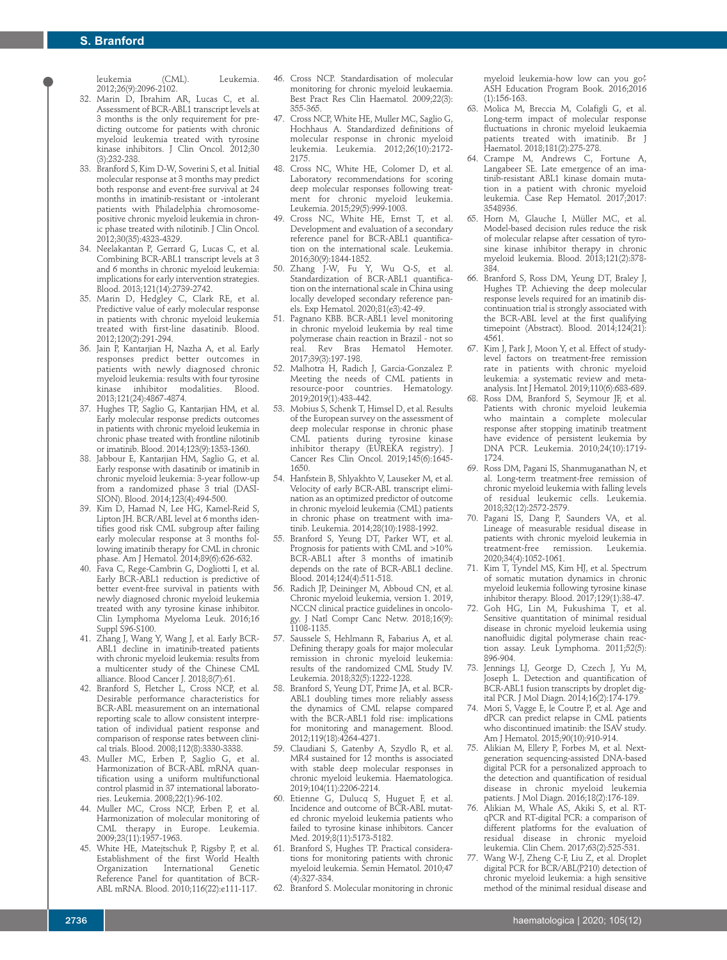leukemia (CML). Leukemia. 2012;26(9):2096-2102.

- 32. Marin D, Ibrahim AR, Lucas C, et al. Assessment of BCR-ABL1 transcript levels at 3 months is the only requirement for predicting outcome for patients with chronic myeloid leukemia treated with tyrosine kinase inhibitors. J Clin Oncol. 2012;30 (3):232-238.
- 33. Branford S, Kim D-W, Soverini S, et al. Initial molecular response at 3 months may predict both response and event-free survival at 24 months in imatinib-resistant or -intolerant patients with Philadelphia chromosomepositive chronic myeloid leukemia in chronic phase treated with nilotinib. J Clin Oncol. 2012;30(35):4323-4329.
- 34. Neelakantan P, Gerrard G, Lucas C, et al. Combining BCR-ABL1 transcript levels at 3 and 6 months in chronic myeloid leukemia: implications for early intervention strategies. Blood. 2013;121(14):2739-2742.
- 35. Marin D, Hedgley C, Clark RE, et al. Predictive value of early molecular response in patients with chronic myeloid leukemia treated with first-line dasatinib. Blood. 2012;120(2):291-294.
- 36. Jain P, Kantarjian H, Nazha A, et al. Early responses predict better outcomes in patients with newly diagnosed chronic ,<br>myeloid leukemia: results with four tyrosine<br>kinase inhibitor modalities. Blood. kinase inhibitor modalities. 2013;121(24):4867-4874.
- 37. Hughes TP, Saglio G, Kantarjian HM, et al. Early molecular response predicts outcomes in patients with chronic myeloid leukemia in chronic phase treated with frontline nilotinib or imatinib. Blood. 2014;123(9):1353-1360.
- 38. Jabbour E, Kantarjian HM, Saglio G, et al. Early response with dasatinib or imatinib in chronic myeloid leukemia: 3-year follow-up from a randomized phase 3 trial (DASI-SION). Blood. 2014;123(4):494-500.
- 39. Kim D, Hamad N, Lee HG, Kamel-Reid S, Lipton JH. BCR/ABL level at 6 months identifies good risk CML subgroup after failing early molecular response at 3 months following imatinib therapy for CML in chronic phase. Am J Hematol. 2014;89(6):626-632.
- 40. Fava C, Rege-Cambrin G, Dogliotti I, et al. Early BCR-ABL1 reduction is predictive of better event-free survival in patients with newly diagnosed chronic myeloid leukemia treated with any tyrosine kinase inhibitor. Clin Lymphoma Myeloma Leuk. 2016;16 Suppl S96-S100.
- 41. Zhang J, Wang Y, Wang J, et al. Early BCR-ABL1 decline in imatinib-treated patients with chronic myeloid leukemia: results from a multicenter study of the Chinese CML alliance. Blood Cancer J. 2018;8(7):61.
- 42. Branford S, Fletcher L, Cross NCP, et al. Desirable performance characteristics for BCR-ABL measurement on an international reporting scale to allow consistent interpretation of individual patient response and comparison of response rates between clinical trials. Blood. 2008;112(8):3330-3338.
- 43. Muller MC, Erben P, Saglio G, et al. Harmonization of BCR-ABL mRNA quantification using a uniform multifunctional control plasmid in 37 international laboratories. Leukemia. 2008;22(1):96-102.
- 44. Muller MC, Cross NCP, Erben P, et al. Harmonization of molecular monitoring of CML therapy in Europe. Leukemia. 2009;23(11):1957-1963.
- 45. White HE, Matejtschuk P, Rigsby P, et al. Establishment of the first World Health<br>Organization International Genetic International Genetic Reference Panel for quantitation of BCR-ABL mRNA. Blood. 2010;116(22):e111-117.
- 46. Cross NCP. Standardisation of molecular monitoring for chronic myeloid leukaemia. Best Pract Res Clin Haematol. 2009;22(3): 355-365.
- 47. Cross NCP, White HE, Muller MC, Saglio G, Hochhaus A. Standardized definitions of molecular response in chronic myeloid leukemia. Leukemia. 2012;26(10):2172- 2175.
- 48. Cross NC, White HE, Colomer D, et al. Laboratory recommendations for scoring deep molecular responses following treatment for chronic myeloid leukemia. Leukemia. 2015;29(5):999-1003.
- 49. Cross NC, White HE, Ernst T, et al. Development and evaluation of a secondary reference panel for BCR-ABL1 quantification on the international scale. Leukemia. 2016;30(9):1844-1852.
- 50. Zhang J-W, Fu Y, Wu Q-S, et al. Standardization of BCR-ABL1 quantification on the international scale in China using locally developed secondary reference panels. Exp Hematol. 2020;81(e3):42-49.
- 51. Pagnano KBB. BCR-ABL1 level monitoring in chronic myeloid leukemia by real time polymerase chain reaction in Brazil - not so real. Rev Bras Hematol Hemoter. 2017;39(3):197-198.
- 52. Malhotra H, Radich J, Garcia-Gonzalez P. Meeting the needs of CML patients in resource-poor countries. Hematology. 2019;2019(1):433-442.
- 53. Mobius S, Schenk T, Himsel D, et al. Results of the European survey on the assessment of deep molecular response in chronic phase CML patients during tyrosine kinase inhibitor therapy (EUREKA registry). J Cancer Res Clin Oncol. 2019;145(6):1645- 1650.
- 54. Hanfstein B, Shlyakhto V, Lauseker M, et al. Velocity of early BCR-ABL transcript elimination as an optimized predictor of outcome in chronic myeloid leukemia (CML) patients in chronic phase on treatment with imatinib. Leukemia. 2014;28(10):1988-1992.
- 55. Branford S, Yeung DT, Parker WT, et al. Prognosis for patients with CML and >10% BCR-ABL1 after 3 months of imatinib depends on the rate of BCR-ABL1 decline. Blood. 2014;124(4):511-518.
- Radich JP, Deininger M, Abboud CN, et al. Chronic myeloid leukemia, version 1. 2019, NCCN clinical practice guidelines in oncology. J Natl Compr Canc Netw. 2018;16(9): 1108-1135.
- Saussele S, Hehlmann R, Fabarius A, et al. Defining therapy goals for major molecular remission in chronic myeloid leukemia: results of the randomized CML Study IV. Leukemia. 2018;32(5):1222-1228.
- 58. Branford S, Yeung DT, Prime JA, et al. BCR-ABL1 doubling times more reliably assess the dynamics of CML relapse compared with the BCR-ABL1 fold rise: implications for monitoring and management. Blood. 2012;119(18):4264-4271.
- Claudiani S, Gatenby A, Szydlo R, et al. MR4 sustained for 12 months is associated with stable deep molecular responses in chronic myeloid leukemia. Haematologica. 2019;104(11):2206-2214.
- 60. Etienne G, Dulucq S, Huguet F, et al. Incidence and outcome of BCR-ABL mutated chronic myeloid leukemia patients who failed to tyrosine kinase inhibitors. Cancer Med. 2019;8(11):5173-5182.
- 61. Branford S, Hughes TP. Practical considerations for monitoring patients with chronic myeloid leukemia. Semin Hematol. 2010;47 (4):327-334.
- 62. Branford S. Molecular monitoring in chronic

myeloid leukemia-how low can you go? ASH Education Program Book. 2016;2016 (1):156-163.

- 63. Molica M, Breccia M, Colafigli G, et al. Long-term impact of molecular response fluctuations in chronic myeloid leukaemia patients treated with imatinib. Br J Haematol. 2018;181(2):275-278.
- 64. Crampe M, Andrews C, Fortune A, Langabeer SE. Late emergence of an imatinib-resistant ABL1 kinase domain mutation in a patient with chronic myeloid leukemia. Case Rep Hematol. 2017;2017: 3548936.
- 65. Horn M, Glauche I, Müller MC, et al. Model-based decision rules reduce the risk of molecular relapse after cessation of tyrosine kinase inhibitor therapy in chronic myeloid leukemia. Blood. 2013;121(2):378- 384.
- 66. Branford S, Ross DM, Yeung DT, Braley J, Hughes TP. Achieving the deep molecular response levels required for an imatinib discontinuation trial is strongly associated with the BCR-ABL level at the first qualifying timepoint (Abstract). Blood. 2014;124(21): 4561.
- 67. Kim J, Park J, Moon Y, et al. Effect of studylevel factors on treatment-free remission rate in patients with chronic myeloid leukemia: a systematic review and metaanalysis. Int J Hematol. 2019;110(6):683-689.
- 68. Ross DM, Branford S, Seymour JF, et al. Patients with chronic myeloid leukemia who maintain a complete molecular response after stopping imatinib treatment have evidence of persistent leukemia by DNA PCR. Leukemia. 2010;24(10):1719- 1724.
- 69. Ross DM, Pagani IS, Shanmuganathan N, et al. Long-term treatment-free remission of chronic myeloid leukemia with falling levels of residual leukemic cells. Leukemia. 2018;32(12):2572-2579.
- Pagani IS, Dang P, Saunders VA, et al. Lineage of measurable residual disease in patients with chronic myeloid leukemia in<br>treatment-free remission. Leukemia. treatment-free remission. 2020;34(4):1052-1061.
- 71. Kim T, Tyndel MS, Kim HJ, et al. Spectrum of somatic mutation dynamics in chronic myeloid leukemia following tyrosine kinase inhibitor therapy. Blood. 2017;129(1):38-47.
- 72. Goh HG, Lin M, Fukushima T, et al. Sensitive quantitation of minimal residual disease in chronic myeloid leukemia using nanofluidic digital polymerase chain reaction assay. Leuk Lymphoma. 2011;52(5): 896-904.
- 73. Jennings LJ, George D, Czech J, Yu M, Joseph L. Detection and quantification of BCR-ABL1 fusion transcripts by droplet digital PCR. J Mol Diagn. 2014;16(2):174-179.
- 74. Mori S, Vagge E, le Coutre P, et al. Age and dPCR can predict relapse in CML patients who discontinued imatinib: the ISAV study. Am J Hematol. 2015;90(10):910-914.
- 75. Alikian M, Ellery P, Forbes M, et al. Nextgeneration sequencing-assisted DNA-based digital PCR for a personalized approach to the detection and quantification of residual disease in chronic myeloid leukemia patients. J Mol Diagn. 2016;18(2):176-189.
- 76. Alikian M, Whale AS, Akiki S, et al. RTqPCR and RT-digital PCR: a comparison of different platforms for the evaluation of<br>residual disease in chronic myeloid disease in chronic myeloid leukemia. Clin Chem. 2017;63(2):525-531.
- 77. Wang W-J, Zheng C-F, Liu Z, et al. Droplet digital PCR for BCR/ABL(P210) detection of chronic myeloid leukemia: a high sensitive method of the minimal residual disease and